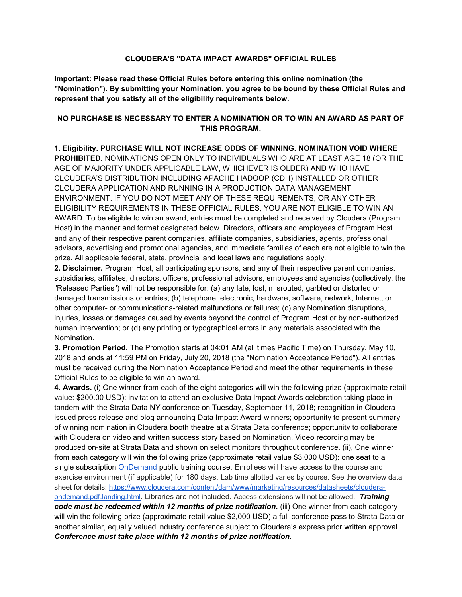## CLOUDERA'S "DATA IMPACT AWARDS" OFFICIAL RULES

Important: Please read these Official Rules before entering this online nomination (the "Nomination"). By submitting your Nomination, you agree to be bound by these Official Rules and represent that you satisfy all of the eligibility requirements below.

## NO PURCHASE IS NECESSARY TO ENTER A NOMINATION OR TO WIN AN AWARD AS PART OF THIS PROGRAM.

1. Eligibility. PURCHASE WILL NOT INCREASE ODDS OF WINNING. NOMINATION VOID WHERE PROHIBITED. NOMINATIONS OPEN ONLY TO INDIVIDUALS WHO ARE AT LEAST AGE 18 (OR THE AGE OF MAJORITY UNDER APPLICABLE LAW, WHICHEVER IS OLDER) AND WHO HAVE CLOUDERA'S DISTRIBUTION INCLUDING APACHE HADOOP (CDH) INSTALLED OR OTHER CLOUDERA APPLICATION AND RUNNING IN A PRODUCTION DATA MANAGEMENT ENVIRONMENT. IF YOU DO NOT MEET ANY OF THESE REQUIREMENTS, OR ANY OTHER ELIGIBILITY REQUIREMENTS IN THESE OFFICIAL RULES, YOU ARE NOT ELIGIBLE TO WIN AN AWARD. To be eligible to win an award, entries must be completed and received by Cloudera (Program Host) in the manner and format designated below. Directors, officers and employees of Program Host and any of their respective parent companies, affiliate companies, subsidiaries, agents, professional advisors, advertising and promotional agencies, and immediate families of each are not eligible to win the prize. All applicable federal, state, provincial and local laws and regulations apply.

2. Disclaimer. Program Host, all participating sponsors, and any of their respective parent companies, subsidiaries, affiliates, directors, officers, professional advisors, employees and agencies (collectively, the "Released Parties") will not be responsible for: (a) any late, lost, misrouted, garbled or distorted or damaged transmissions or entries; (b) telephone, electronic, hardware, software, network, Internet, or other computer- or communications-related malfunctions or failures; (c) any Nomination disruptions, injuries, losses or damages caused by events beyond the control of Program Host or by non-authorized human intervention; or (d) any printing or typographical errors in any materials associated with the Nomination.

3. Promotion Period. The Promotion starts at 04:01 AM (all times Pacific Time) on Thursday, May 10, 2018 and ends at 11:59 PM on Friday, July 20, 2018 (the "Nomination Acceptance Period"). All entries must be received during the Nomination Acceptance Period and meet the other requirements in these Official Rules to be eligible to win an award.

4. Awards. (i) One winner from each of the eight categories will win the following prize (approximate retail value: \$200.00 USD): invitation to attend an exclusive Data Impact Awards celebration taking place in tandem with the Strata Data NY conference on Tuesday, September 11, 2018; recognition in Clouderaissued press release and blog announcing Data Impact Award winners; opportunity to present summary of winning nomination in Cloudera booth theatre at a Strata Data conference; opportunity to collaborate with Cloudera on video and written success story based on Nomination. Video recording may be produced on-site at Strata Data and shown on select monitors throughout conference. (ii), One winner from each category will win the following prize (approximate retail value \$3,000 USD): one seat to a single subscription OnDemand public training course. Enrollees will have access to the course and exercise environment (if applicable) for 180 days. Lab time allotted varies by course. See the overview data sheet for details: https://www.cloudera.com/content/dam/www/marketing/resources/datasheets/clouderaondemand.pdf.landing.html. Libraries are not included. Access extensions will not be allowed. Training code must be redeemed within 12 months of prize notification. (iii) One winner from each category will win the following prize (approximate retail value \$2,000 USD) a full-conference pass to Strata Data or another similar, equally valued industry conference subject to Cloudera's express prior written approval. Conference must take place within 12 months of prize notification.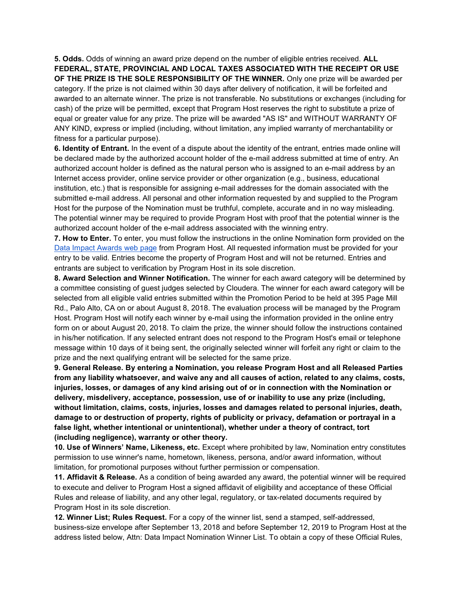5. Odds. Odds of winning an award prize depend on the number of eligible entries received. ALL FEDERAL, STATE, PROVINCIAL AND LOCAL TAXES ASSOCIATED WITH THE RECEIPT OR USE OF THE PRIZE IS THE SOLE RESPONSIBILITY OF THE WINNER. Only one prize will be awarded per category. If the prize is not claimed within 30 days after delivery of notification, it will be forfeited and awarded to an alternate winner. The prize is not transferable. No substitutions or exchanges (including for cash) of the prize will be permitted, except that Program Host reserves the right to substitute a prize of equal or greater value for any prize. The prize will be awarded "AS IS" and WITHOUT WARRANTY OF ANY KIND, express or implied (including, without limitation, any implied warranty of merchantability or fitness for a particular purpose).

6. Identity of Entrant. In the event of a dispute about the identity of the entrant, entries made online will be declared made by the authorized account holder of the e-mail address submitted at time of entry. An authorized account holder is defined as the natural person who is assigned to an e-mail address by an Internet access provider, online service provider or other organization (e.g., business, educational institution, etc.) that is responsible for assigning e-mail addresses for the domain associated with the submitted e-mail address. All personal and other information requested by and supplied to the Program Host for the purpose of the Nomination must be truthful, complete, accurate and in no way misleading. The potential winner may be required to provide Program Host with proof that the potential winner is the authorized account holder of the e-mail address associated with the winning entry.

7. How to Enter. To enter, you must follow the instructions in the online Nomination form provided on the Data Impact Awards web page from Program Host. All requested information must be provided for your entry to be valid. Entries become the property of Program Host and will not be returned. Entries and entrants are subject to verification by Program Host in its sole discretion.

8. Award Selection and Winner Notification. The winner for each award category will be determined by a committee consisting of guest judges selected by Cloudera. The winner for each award category will be selected from all eligible valid entries submitted within the Promotion Period to be held at 395 Page Mill Rd., Palo Alto, CA on or about August 8, 2018. The evaluation process will be managed by the Program Host. Program Host will notify each winner by e-mail using the information provided in the online entry form on or about August 20, 2018. To claim the prize, the winner should follow the instructions contained in his/her notification. If any selected entrant does not respond to the Program Host's email or telephone message within 10 days of it being sent, the originally selected winner will forfeit any right or claim to the prize and the next qualifying entrant will be selected for the same prize.

9. General Release. By entering a Nomination, you release Program Host and all Released Parties from any liability whatsoever, and waive any and all causes of action, related to any claims, costs, injuries, losses, or damages of any kind arising out of or in connection with the Nomination or delivery, misdelivery, acceptance, possession, use of or inability to use any prize (including, without limitation, claims, costs, injuries, losses and damages related to personal injuries, death, damage to or destruction of property, rights of publicity or privacy, defamation or portrayal in a false light, whether intentional or unintentional), whether under a theory of contract, tort (including negligence), warranty or other theory.

10. Use of Winners' Name, Likeness, etc. Except where prohibited by law, Nomination entry constitutes permission to use winner's name, hometown, likeness, persona, and/or award information, without limitation, for promotional purposes without further permission or compensation.

11. Affidavit & Release. As a condition of being awarded any award, the potential winner will be required to execute and deliver to Program Host a signed affidavit of eligibility and acceptance of these Official Rules and release of liability, and any other legal, regulatory, or tax-related documents required by Program Host in its sole discretion.

12. Winner List; Rules Request. For a copy of the winner list, send a stamped, self-addressed, business-size envelope after September 13, 2018 and before September 12, 2019 to Program Host at the address listed below, Attn: Data Impact Nomination Winner List. To obtain a copy of these Official Rules,